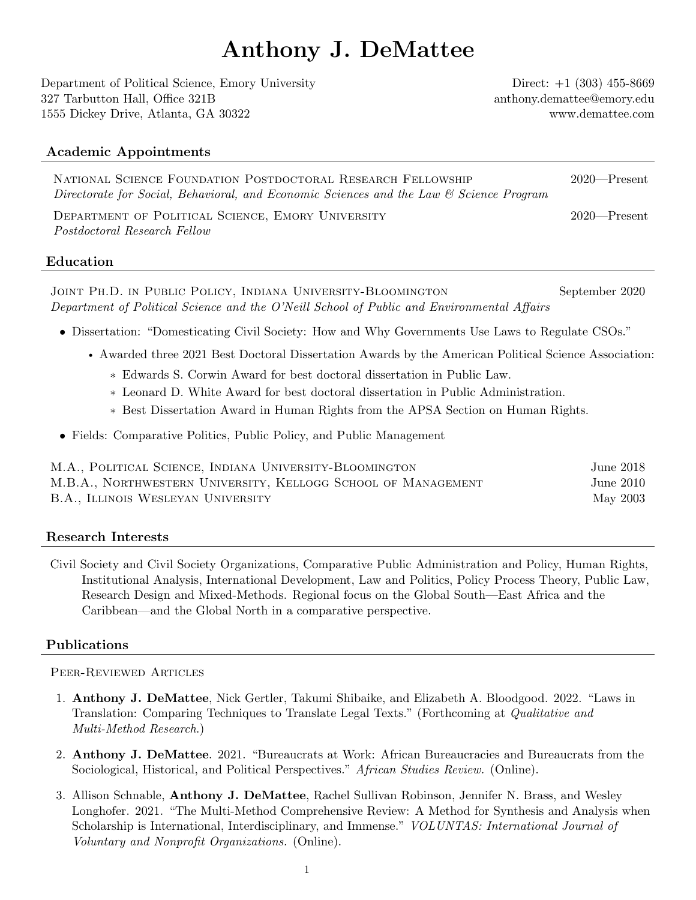# Anthony J. DeMattee

Department of Political Science, Emory University Direct: +1 (303) 455-8669 327 Tarbutton Hall, Office 321B [anthony.demattee@emory.edu](mailto:anthony.demattee@emory.edu) 1555 Dickey Drive, Atlanta, GA 30322<www.demattee.com>

# Academic Appointments

| NATIONAL SCIENCE FOUNDATION POSTDOCTORAL RESEARCH FELLOWSHIP                            | $2020$ —Present |
|-----------------------------------------------------------------------------------------|-----------------|
| Directorate for Social, Behavioral, and Economic Sciences and the Law & Science Program |                 |

Department of Political Science, Emory University 2020—Present Postdoctoral Research Fellow

# Education

Joint Ph.D. in Public Policy, Indiana University-Bloomington September 2020 Department of Political Science and the O'Neill School of Public and Environmental Affairs

- Dissertation: "Domesticating Civil Society: How and Why Governments Use Laws to Regulate CSOs."
	- Awarded three 2021 Best Doctoral Dissertation Awards by the American Political Science Association:
		- ∗ [Edwards S. Corwin Award](https://politicalsciencenow.com/anthony-demattee-receives-the-2021-edward-s-corwin-award/) for best doctoral dissertation in Public Law.
		- ∗ [Leonard D. White Award](https://politicalsciencenow.com/anthony-demattee-receives-the-2021-leonard-d-white-award/) for best doctoral dissertation in Public Administration.
		- ∗ Best Dissertation Award in Human Rights from the APSA Section on Human Rights.
- Fields: Comparative Politics, Public Policy, and Public Management

| M.A., POLITICAL SCIENCE, INDIANA UNIVERSITY-BLOOMINGTON       | June 2018 |
|---------------------------------------------------------------|-----------|
| M.B.A., NORTHWESTERN UNIVERSITY, KELLOGG SCHOOL OF MANAGEMENT | June 2010 |
| B.A., ILLINOIS WESLEYAN UNIVERSITY                            | May 2003  |

# Research Interests

Civil Society and Civil Society Organizations, Comparative Public Administration and Policy, Human Rights, Institutional Analysis, International Development, Law and Politics, Policy Process Theory, Public Law, Research Design and Mixed-Methods. Regional focus on the Global South—East Africa and the Caribbean—and the Global North in a comparative perspective.

# Publications

Peer-Reviewed Articles

- 1. Anthony J. DeMattee, Nick Gertler, Takumi Shibaike, and Elizabeth A. Bloodgood. 2022. "Laws in Translation: Comparing Techniques to Translate Legal Texts." (Forthcoming at Qualitative and Multi-Method Research.)
- 2. Anthony J. DeMattee. 2021. "Bureaucrats at Work: African Bureaucracies and Bureaucrats from the Sociological, Historical, and Political Perspectives." African Studies Review. (Online).
- 3. Allison Schnable, Anthony J. DeMattee, Rachel Sullivan Robinson, Jennifer N. Brass, and Wesley Longhofer. 2021. ["The Multi-Method Comprehensive Review: A Method for Synthesis and Analysis when](https://doi.org/10.1007/s11266-021-00388-w) [Scholarship is International, Interdisciplinary, and Immense."](https://doi.org/10.1007/s11266-021-00388-w) VOLUNTAS: International Journal of Voluntary and Nonprofit Organizations. (Online).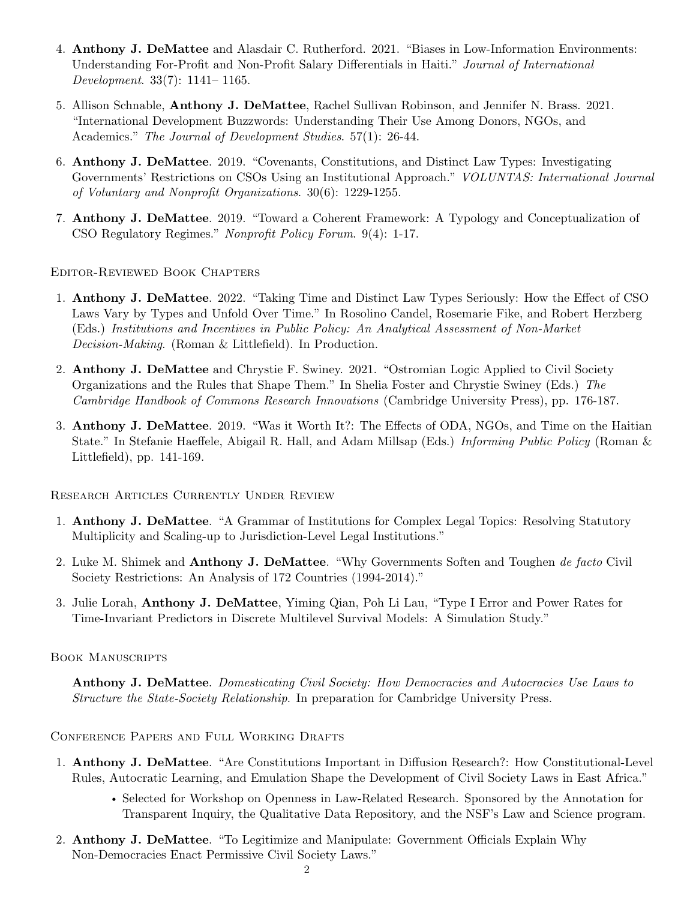- 4. Anthony J. DeMattee and Alasdair C. Rutherford. 2021. ["Biases in Low-Information Environments:](http://doi.org/10.1002/jid.3572) [Understanding For-Profit and Non-Profit Salary Differentials in Haiti."](http://doi.org/10.1002/jid.3572) Journal of International Development. 33(7): 1141– 1165.
- 5. Allison Schnable, Anthony J. DeMattee, Rachel Sullivan Robinson, and Jennifer N. Brass. 2021. ["International Development Buzzwords: Understanding Their Use Among Donors, NGOs, and](https://doi.org/10.1080/00220388.2020.1790532) [Academics."](https://doi.org/10.1080/00220388.2020.1790532) The Journal of Development Studies. 57(1): 26-44.
- 6. Anthony J. DeMattee. 2019. ["Covenants, Constitutions, and Distinct Law Types: Investigating](https://doi.org/10.1007/s11266-019-00151-2) [Governments' Restrictions on CSOs Using an Institutional Approach."](https://doi.org/10.1007/s11266-019-00151-2) VOLUNTAS: International Journal of Voluntary and Nonprofit Organizations. 30(6): 1229-1255.
- 7. Anthony J. DeMattee. 2019. ["Toward a Coherent Framework: A Typology and Conceptualization of](https://www.degruyter.com/document/doi/10.1515/npf-2018-0011/html) [CSO Regulatory Regimes."](https://www.degruyter.com/document/doi/10.1515/npf-2018-0011/html) Nonprofit Policy Forum. 9(4): 1-17.

Editor-Reviewed Book Chapters

- 1. Anthony J. DeMattee. 2022. "Taking Time and Distinct Law Types Seriously: How the Effect of CSO Laws Vary by Types and Unfold Over Time." In Rosolino Candel, Rosemarie Fike, and Robert Herzberg (Eds.) Institutions and Incentives in Public Policy: An Analytical Assessment of Non-Market Decision-Making. (Roman & Littlefield). In Production.
- 2. Anthony J. DeMattee and Chrystie F. Swiney. 2021. "Ostromian Logic Applied to Civil Society Organizations and the Rules that Shape Them." In Shelia Foster and Chrystie Swiney (Eds.) The Cambridge Handbook of Commons Research Innovations (Cambridge University Press), pp. 176-187.
- 3. Anthony J. DeMattee. 2019. "Was it Worth It?: The Effects of ODA, NGOs, and Time on the Haitian State." In Stefanie Haeffele, Abigail R. Hall, and Adam Millsap (Eds.) Informing Public Policy (Roman & Littlefield), pp. 141-169.

Research Articles Currently Under Review

- 1. Anthony J. DeMattee. "A Grammar of Institutions for Complex Legal Topics: Resolving Statutory Multiplicity and Scaling-up to Jurisdiction-Level Legal Institutions."
- 2. Luke M. Shimek and Anthony J. DeMattee. "Why Governments Soften and Toughen de facto Civil Society Restrictions: An Analysis of 172 Countries (1994-2014)."
- 3. Julie Lorah, Anthony J. DeMattee, Yiming Qian, Poh Li Lau, "Type I Error and Power Rates for Time-Invariant Predictors in Discrete Multilevel Survival Models: A Simulation Study."

BOOK MANUSCRIPTS

Anthony J. DeMattee. Domesticating Civil Society: How Democracies and Autocracies Use Laws to Structure the State-Society Relationship. In preparation for Cambridge University Press.

Conference Papers and Full Working Drafts

- 1. Anthony J. DeMattee. "Are Constitutions Important in Diffusion Research?: How Constitutional-Level Rules, Autocratic Learning, and Emulation Shape the Development of Civil Society Laws in East Africa."
	- Selected for Workshop on Openness in Law-Related Research. Sponsored by the Annotation for Transparent Inquiry, the Qualitative Data Repository, and the NSF's Law and Science program.
- 2. Anthony J. DeMattee. "To Legitimize and Manipulate: Government Officials Explain Why Non-Democracies Enact Permissive Civil Society Laws."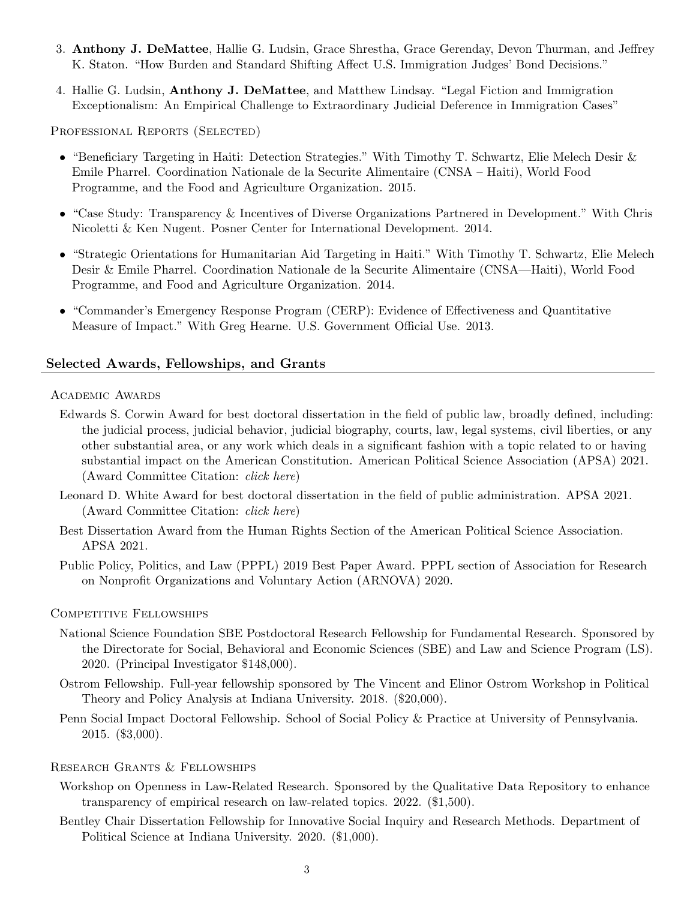- 3. Anthony J. DeMattee, Hallie G. Ludsin, Grace Shrestha, Grace Gerenday, Devon Thurman, and Jeffrey K. Staton. "How Burden and Standard Shifting Affect U.S. Immigration Judges' Bond Decisions."
- 4. Hallie G. Ludsin, Anthony J. DeMattee, and Matthew Lindsay. "Legal Fiction and Immigration Exceptionalism: An Empirical Challenge to Extraordinary Judicial Deference in Immigration Cases"

PROFESSIONAL REPORTS (SELECTED)

- "Beneficiary Targeting in Haiti: Detection Strategies." With Timothy T. Schwartz, Elie Melech Desir & Emile Pharrel. Coordination Nationale de la Securite Alimentaire (CNSA – Haiti), World Food Programme, and the Food and Agriculture Organization. 2015.
- "Case Study: Transparency & Incentives of Diverse Organizations Partnered in Development." With Chris Nicoletti & Ken Nugent. Posner Center for International Development. 2014.
- "Strategic Orientations for Humanitarian Aid Targeting in Haiti." With Timothy T. Schwartz, Elie Melech Desir & Emile Pharrel. Coordination Nationale de la Securite Alimentaire (CNSA—Haiti), World Food Programme, and Food and Agriculture Organization. 2014.
- "Commander's Emergency Response Program (CERP): Evidence of Effectiveness and Quantitative Measure of Impact." With Greg Hearne. U.S. Government Official Use. 2013.

#### Selected Awards, Fellowships, and Grants

#### Academic Awards

- [Edwards S. Corwin Award](https://www.apsanet.org/PROGRAMS/APSA-Awards/Edward-S-Corwin-Award) for best doctoral dissertation in the field of public law, broadly defined, including: the judicial process, judicial behavior, judicial biography, courts, law, legal systems, civil liberties, or any other substantial area, or any work which deals in a significant fashion with a topic related to or having substantial impact on the American Constitution. American Political Science Association (APSA) 2021. (Award Committee Citation: [click here](https://politicalsciencenow.com/anthony-demattee-receives-the-2021-edward-s-corwin-award/))
- [Leonard D. White Award](https://www.apsanet.org/PROGRAMS/APSA-Awards/Leonard-D-White-Award) for best doctoral dissertation in the field of public administration. APSA 2021. (Award Committee Citation: [click here](https://politicalsciencenow.com/anthony-demattee-receives-the-2021-leonard-d-white-award/))
- [Best Dissertation Award from the Human Rights Section](https://www.apsanet.org/STAFF/Membership-Workspace/Organized-Sections/Organized-Section-Awards/Organized-Section-Awards/Section-36#dissertation) of the American Political Science Association. APSA 2021.
- Public Policy, Politics, and Law (PPPL) 2019 Best Paper Award. PPPL section of Association for Research on Nonprofit Organizations and Voluntary Action (ARNOVA) 2020.

#### COMPETITIVE FELLOWSHIPS

- National Science Foundation SBE Postdoctoral Research Fellowship for Fundamental Research. Sponsored by the Directorate for Social, Behavioral and Economic Sciences (SBE) and Law and Science Program (LS). 2020. (Principal Investigator \$148,000).
- Ostrom Fellowship. Full-year fellowship sponsored by The Vincent and Elinor Ostrom Workshop in Political Theory and Policy Analysis at Indiana University. 2018. (\$20,000).
- Penn Social Impact Doctoral Fellowship. School of Social Policy & Practice at University of Pennsylvania. 2015. (\$3,000).

#### Research Grants & Fellowships

- Workshop on Openness in Law-Related Research. Sponsored by the Qualitative Data Repository to enhance transparency of empirical research on law-related topics. 2022. (\$1,500).
- Bentley Chair Dissertation Fellowship for Innovative Social Inquiry and Research Methods. Department of Political Science at Indiana University. 2020. (\$1,000).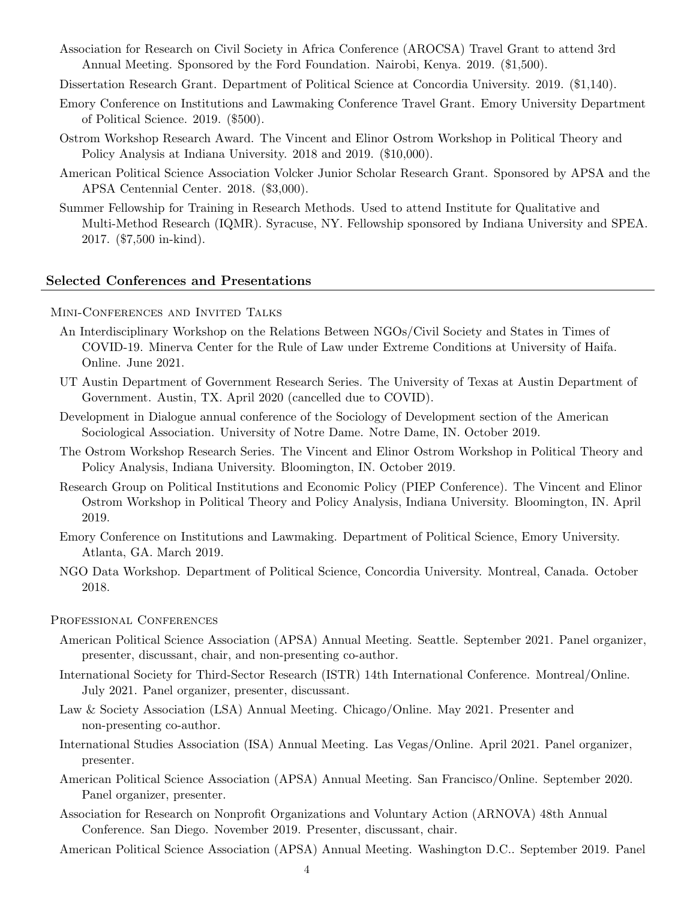- Association for Research on Civil Society in Africa Conference (AROCSA) Travel Grant to attend 3rd Annual Meeting. Sponsored by the Ford Foundation. Nairobi, Kenya. 2019. (\$1,500).
- Dissertation Research Grant. Department of Political Science at Concordia University. 2019. (\$1,140).
- Emory Conference on Institutions and Lawmaking Conference Travel Grant. Emory University Department of Political Science. 2019. (\$500).
- Ostrom Workshop Research Award. The Vincent and Elinor Ostrom Workshop in Political Theory and Policy Analysis at Indiana University. 2018 and 2019. (\$10,000).
- American Political Science Association Volcker Junior Scholar Research Grant. Sponsored by APSA and the APSA Centennial Center. 2018. (\$3,000).
- Summer Fellowship for Training in Research Methods. Used to attend Institute for Qualitative and Multi-Method Research (IQMR). Syracuse, NY. Fellowship sponsored by Indiana University and SPEA. 2017. (\$7,500 in-kind).

#### Selected Conferences and Presentations

- Mini-Conferences and Invited Talks
	- An Interdisciplinary Workshop on the Relations Between NGOs/Civil Society and States in Times of COVID-19. Minerva Center for the Rule of Law under Extreme Conditions at University of Haifa. Online. June 2021.
	- UT Austin Department of Government Research Series. The University of Texas at Austin Department of Government. Austin, TX. April 2020 (cancelled due to COVID).
	- Development in Dialogue annual conference of the Sociology of Development section of the American Sociological Association. University of Notre Dame. Notre Dame, IN. October 2019.
	- The Ostrom Workshop Research Series. The Vincent and Elinor Ostrom Workshop in Political Theory and Policy Analysis, Indiana University. Bloomington, IN. October 2019.
	- Research Group on Political Institutions and Economic Policy (PIEP Conference). The Vincent and Elinor Ostrom Workshop in Political Theory and Policy Analysis, Indiana University. Bloomington, IN. April 2019.
	- Emory Conference on Institutions and Lawmaking. Department of Political Science, Emory University. Atlanta, GA. March 2019.
	- NGO Data Workshop. Department of Political Science, Concordia University. Montreal, Canada. October 2018.
- PROFESSIONAL CONFERENCES
	- American Political Science Association (APSA) Annual Meeting. Seattle. September 2021. Panel organizer, presenter, discussant, chair, and non-presenting co-author.
	- International Society for Third-Sector Research (ISTR) 14th International Conference. Montreal/Online. July 2021. Panel organizer, presenter, discussant.
	- Law & Society Association (LSA) Annual Meeting. Chicago/Online. May 2021. Presenter and non-presenting co-author.
	- International Studies Association (ISA) Annual Meeting. Las Vegas/Online. April 2021. Panel organizer, presenter.
	- American Political Science Association (APSA) Annual Meeting. San Francisco/Online. September 2020. Panel organizer, presenter.
	- Association for Research on Nonprofit Organizations and Voluntary Action (ARNOVA) 48th Annual Conference. San Diego. November 2019. Presenter, discussant, chair.
	- American Political Science Association (APSA) Annual Meeting. Washington D.C.. September 2019. Panel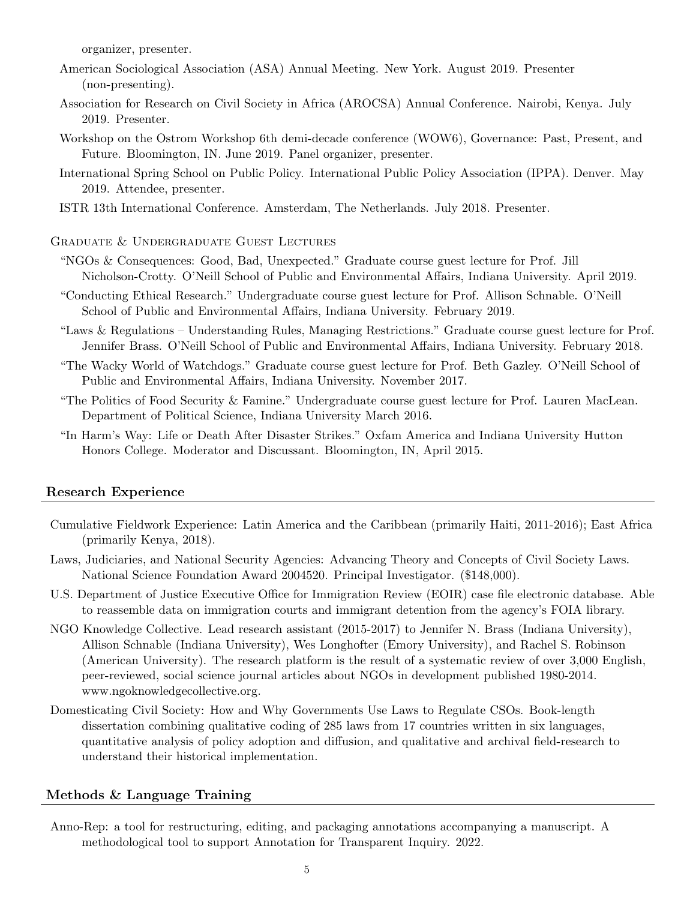organizer, presenter.

- American Sociological Association (ASA) Annual Meeting. New York. August 2019. Presenter (non-presenting).
- Association for Research on Civil Society in Africa (AROCSA) Annual Conference. Nairobi, Kenya. July 2019. Presenter.
- Workshop on the Ostrom Workshop 6th demi-decade conference (WOW6), Governance: Past, Present, and Future. Bloomington, IN. June 2019. Panel organizer, presenter.
- International Spring School on Public Policy. International Public Policy Association (IPPA). Denver. May 2019. Attendee, presenter.
- ISTR 13th International Conference. Amsterdam, The Netherlands. July 2018. Presenter.

Graduate & Undergraduate Guest Lectures

- "NGOs & Consequences: Good, Bad, Unexpected." Graduate course guest lecture for Prof. Jill Nicholson-Crotty. O'Neill School of Public and Environmental Affairs, Indiana University. April 2019.
- "Conducting Ethical Research." Undergraduate course guest lecture for Prof. Allison Schnable. O'Neill School of Public and Environmental Affairs, Indiana University. February 2019.
- "Laws & Regulations Understanding Rules, Managing Restrictions." Graduate course guest lecture for Prof. Jennifer Brass. O'Neill School of Public and Environmental Affairs, Indiana University. February 2018.
- "The Wacky World of Watchdogs." Graduate course guest lecture for Prof. Beth Gazley. O'Neill School of Public and Environmental Affairs, Indiana University. November 2017.
- "The Politics of Food Security & Famine." Undergraduate course guest lecture for Prof. Lauren MacLean. Department of Political Science, Indiana University March 2016.
- "In Harm's Way: Life or Death After Disaster Strikes." Oxfam America and Indiana University Hutton Honors College. Moderator and Discussant. Bloomington, IN, April 2015.

### Research Experience

- Cumulative Fieldwork Experience: Latin America and the Caribbean (primarily Haiti, 2011-2016); East Africa (primarily Kenya, 2018).
- Laws, Judiciaries, and National Security Agencies: Advancing Theory and Concepts of Civil Society Laws. National Science Foundation Award 2004520. Principal Investigator. (\$148,000).
- U.S. Department of Justice Executive Office for Immigration Review (EOIR) case file electronic database. Able to reassemble data on immigration courts and immigrant detention from the agency's FOIA library.
- NGO Knowledge Collective. Lead research assistant (2015-2017) to Jennifer N. Brass (Indiana University), Allison Schnable (Indiana University), Wes Longhofter (Emory University), and Rachel S. Robinson (American University). The research platform is the result of a systematic review of over 3,000 English, peer-reviewed, social science journal articles about NGOs in development published 1980-2014. [www.ngoknowledgecollective.org.](www.ngoknowledgecollective.org)
- Domesticating Civil Society: How and Why Governments Use Laws to Regulate CSOs. Book-length dissertation combining qualitative coding of 285 laws from 17 countries written in six languages, quantitative analysis of policy adoption and diffusion, and qualitative and archival field-research to understand their historical implementation.

## Methods & Language Training

Anno-Rep: a tool for restructuring, editing, and packaging annotations accompanying a manuscript. A methodological tool to support Annotation for Transparent Inquiry. 2022.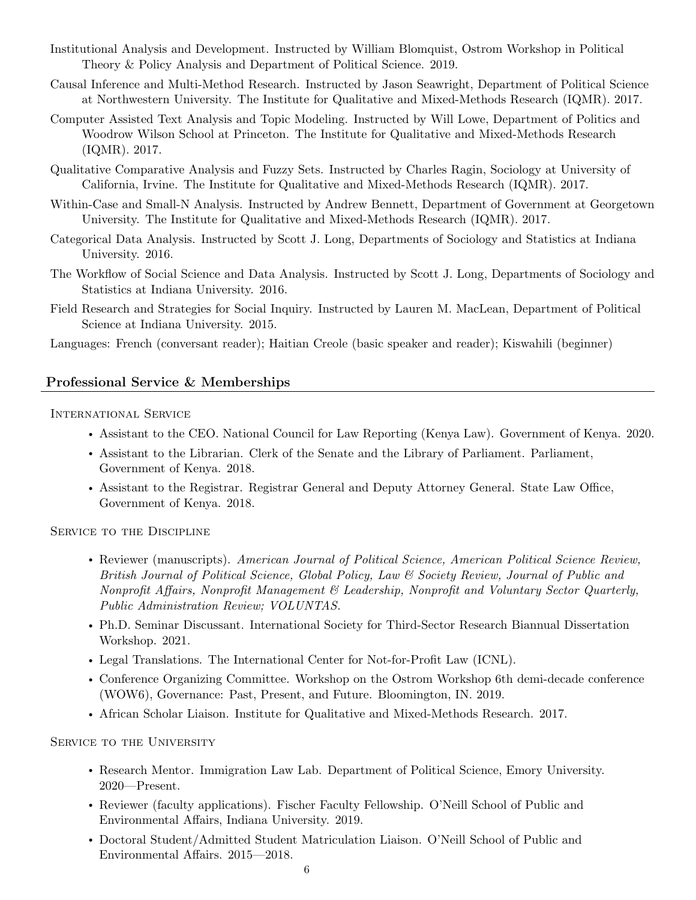- Institutional Analysis and Development. Instructed by William Blomquist, Ostrom Workshop in Political Theory & Policy Analysis and Department of Political Science. 2019.
- Causal Inference and Multi-Method Research. Instructed by Jason Seawright, Department of Political Science at Northwestern University. The Institute for Qualitative and Mixed-Methods Research (IQMR). 2017.
- Computer Assisted Text Analysis and Topic Modeling. Instructed by Will Lowe, Department of Politics and Woodrow Wilson School at Princeton. The Institute for Qualitative and Mixed-Methods Research (IQMR). 2017.
- Qualitative Comparative Analysis and Fuzzy Sets. Instructed by Charles Ragin, Sociology at University of California, Irvine. The Institute for Qualitative and Mixed-Methods Research (IQMR). 2017.
- Within-Case and Small-N Analysis. Instructed by Andrew Bennett, Department of Government at Georgetown University. The Institute for Qualitative and Mixed-Methods Research (IQMR). 2017.
- Categorical Data Analysis. Instructed by Scott J. Long, Departments of Sociology and Statistics at Indiana University. 2016.
- The Workflow of Social Science and Data Analysis. Instructed by Scott J. Long, Departments of Sociology and Statistics at Indiana University. 2016.
- Field Research and Strategies for Social Inquiry. Instructed by Lauren M. MacLean, Department of Political Science at Indiana University. 2015.

Languages: French (conversant reader); Haitian Creole (basic speaker and reader); Kiswahili (beginner)

# Professional Service & Memberships

International Service

- Assistant to the CEO. National Council for Law Reporting (Kenya Law). Government of Kenya. 2020.
- Assistant to the Librarian. Clerk of the Senate and the Library of Parliament. Parliament, Government of Kenya. 2018.
- Assistant to the Registrar. Registrar General and Deputy Attorney General. State Law Office, Government of Kenya. 2018.

SERVICE TO THE DISCIPLINE

- Reviewer (manuscripts). American Journal of Political Science, American Political Science Review, British Journal of Political Science, Global Policy, Law & Society Review, Journal of Public and Nonprofit Affairs, Nonprofit Management & Leadership, Nonprofit and Voluntary Sector Quarterly, Public Administration Review; VOLUNTAS.
- Ph.D. Seminar Discussant. International Society for Third-Sector Research Biannual Dissertation Workshop. 2021.
- Legal Translations. The International Center for Not-for-Profit Law (ICNL).
- Conference Organizing Committee. Workshop on the Ostrom Workshop 6th demi-decade conference (WOW6), Governance: Past, Present, and Future. Bloomington, IN. 2019.
- African Scholar Liaison. Institute for Qualitative and Mixed-Methods Research. 2017.

SERVICE TO THE UNIVERSITY

- Research Mentor. Immigration Law Lab. Department of Political Science, Emory University. 2020—Present.
- Reviewer (faculty applications). Fischer Faculty Fellowship. O'Neill School of Public and Environmental Affairs, Indiana University. 2019.
- Doctoral Student/Admitted Student Matriculation Liaison. O'Neill School of Public and Environmental Affairs. 2015—2018.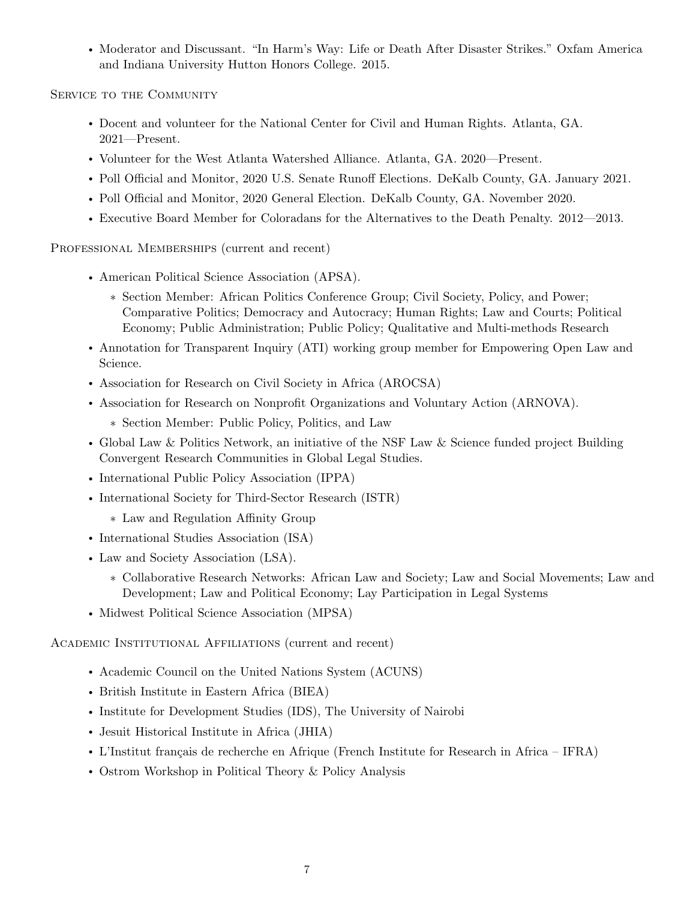• Moderator and Discussant. "In Harm's Way: Life or Death After Disaster Strikes." Oxfam America and Indiana University Hutton Honors College. 2015.

SERVICE TO THE COMMUNITY

- Docent and volunteer for the National Center for Civil and Human Rights. Atlanta, GA. 2021—Present.
- Volunteer for the West Atlanta Watershed Alliance. Atlanta, GA. 2020—Present.
- Poll Official and Monitor, 2020 U.S. Senate Runoff Elections. DeKalb County, GA. January 2021.
- Poll Official and Monitor, 2020 General Election. DeKalb County, GA. November 2020.
- Executive Board Member for Coloradans for the Alternatives to the Death Penalty. 2012—2013.

PROFESSIONAL MEMBERSHIPS (current and recent)

- American Political Science Association (APSA).
	- ∗ Section Member: African Politics Conference Group; Civil Society, Policy, and Power; Comparative Politics; Democracy and Autocracy; Human Rights; Law and Courts; Political Economy; Public Administration; Public Policy; Qualitative and Multi-methods Research
- Annotation for Transparent Inquiry (ATI) working group member for Empowering Open Law and Science.
- Association for Research on Civil Society in Africa (AROCSA)
- Association for Research on Nonprofit Organizations and Voluntary Action (ARNOVA).
	- ∗ Section Member: Public Policy, Politics, and Law
- Global Law & Politics Network, an initiative of the NSF Law & Science funded project Building Convergent Research Communities in Global Legal Studies.
- International Public Policy Association (IPPA)
- International Society for Third-Sector Research (ISTR)
	- ∗ Law and Regulation Affinity Group
- International Studies Association (ISA)
- Law and Society Association (LSA).
	- ∗ Collaborative Research Networks: African Law and Society; Law and Social Movements; Law and Development; Law and Political Economy; Lay Participation in Legal Systems
- Midwest Political Science Association (MPSA)

Academic Institutional Affiliations (current and recent)

- Academic Council on the United Nations System (ACUNS)
- British Institute in Eastern Africa (BIEA)
- Institute for Development Studies (IDS), The University of Nairobi
- Jesuit Historical Institute in Africa (JHIA)
- L'Institut français de recherche en Afrique (French Institute for Research in Africa IFRA)
- Ostrom Workshop in Political Theory & Policy Analysis